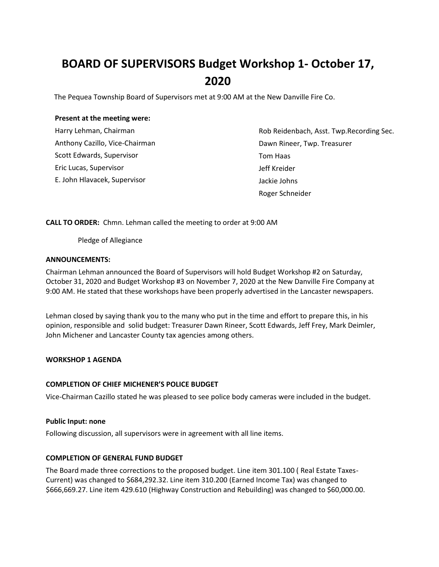# **BOARD OF SUPERVISORS Budget Workshop 1- October 17, 2020**

The Pequea Township Board of Supervisors met at 9:00 AM at the New Danville Fire Co.

## **Present at the meeting were:**

| Harry Lehman, Chairman         |
|--------------------------------|
| Anthony Cazillo, Vice-Chairman |
| Scott Edwards, Supervisor      |
| Eric Lucas, Supervisor         |
| E. John Hlavacek, Supervisor   |

Rob Reidenbach, Asst. Twp.Recording Sec. Dawn Rineer, Twp. Treasurer Tom Haas Jeff Kreider Jackie Johns Roger Schneider

**CALL TO ORDER:** Chmn. Lehman called the meeting to order at 9:00 AM

Pledge of Allegiance

## **ANNOUNCEMENTS:**

Chairman Lehman announced the Board of Supervisors will hold Budget Workshop #2 on Saturday, October 31, 2020 and Budget Workshop #3 on November 7, 2020 at the New Danville Fire Company at 9:00 AM. He stated that these workshops have been properly advertised in the Lancaster newspapers.

Lehman closed by saying thank you to the many who put in the time and effort to prepare this, in his opinion, responsible and solid budget: Treasurer Dawn Rineer, Scott Edwards, Jeff Frey, Mark Deimler, John Michener and Lancaster County tax agencies among others.

## **WORKSHOP 1 AGENDA**

## **COMPLETION OF CHIEF MICHENER'S POLICE BUDGET**

Vice-Chairman Cazillo stated he was pleased to see police body cameras were included in the budget.

## **Public Input: none**

Following discussion, all supervisors were in agreement with all line items.

## **COMPLETION OF GENERAL FUND BUDGET**

The Board made three corrections to the proposed budget. Line item 301.100 ( Real Estate Taxes-Current) was changed to \$684,292.32. Line item 310.200 (Earned Income Tax) was changed to \$666,669.27. Line item 429.610 (Highway Construction and Rebuilding) was changed to \$60,000.00.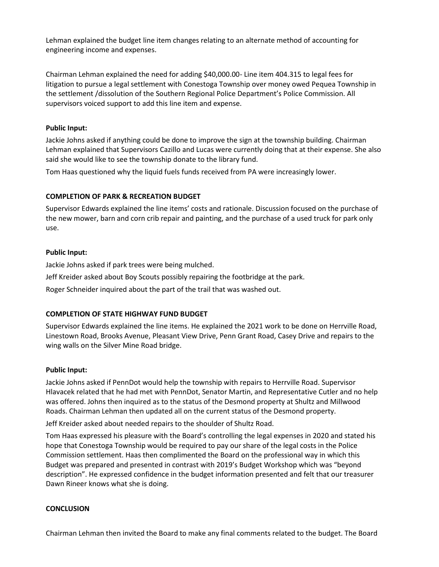Lehman explained the budget line item changes relating to an alternate method of accounting for engineering income and expenses.

Chairman Lehman explained the need for adding \$40,000.00- Line item 404.315 to legal fees for litigation to pursue a legal settlement with Conestoga Township over money owed Pequea Township in the settlement /dissolution of the Southern Regional Police Department's Police Commission. All supervisors voiced support to add this line item and expense.

## **Public Input:**

Jackie Johns asked if anything could be done to improve the sign at the township building. Chairman Lehman explained that Supervisors Cazillo and Lucas were currently doing that at their expense. She also said she would like to see the township donate to the library fund.

Tom Haas questioned why the liquid fuels funds received from PA were increasingly lower.

#### **COMPLETION OF PARK & RECREATION BUDGET**

Supervisor Edwards explained the line items' costs and rationale. Discussion focused on the purchase of the new mower, barn and corn crib repair and painting, and the purchase of a used truck for park only use.

#### **Public Input:**

Jackie Johns asked if park trees were being mulched.

Jeff Kreider asked about Boy Scouts possibly repairing the footbridge at the park.

Roger Schneider inquired about the part of the trail that was washed out.

## **COMPLETION OF STATE HIGHWAY FUND BUDGET**

Supervisor Edwards explained the line items. He explained the 2021 work to be done on Herrville Road, Linestown Road, Brooks Avenue, Pleasant View Drive, Penn Grant Road, Casey Drive and repairs to the wing walls on the Silver Mine Road bridge.

#### **Public Input:**

Jackie Johns asked if PennDot would help the township with repairs to Herrville Road. Supervisor Hlavacek related that he had met with PennDot, Senator Martin, and Representative Cutler and no help was offered. Johns then inquired as to the status of the Desmond property at Shultz and Millwood Roads. Chairman Lehman then updated all on the current status of the Desmond property.

Jeff Kreider asked about needed repairs to the shoulder of Shultz Road.

Tom Haas expressed his pleasure with the Board's controlling the legal expenses in 2020 and stated his hope that Conestoga Township would be required to pay our share of the legal costs in the Police Commission settlement. Haas then complimented the Board on the professional way in which this Budget was prepared and presented in contrast with 2019's Budget Workshop which was "beyond description". He expressed confidence in the budget information presented and felt that our treasurer Dawn Rineer knows what she is doing.

#### **CONCLUSION**

Chairman Lehman then invited the Board to make any final comments related to the budget. The Board